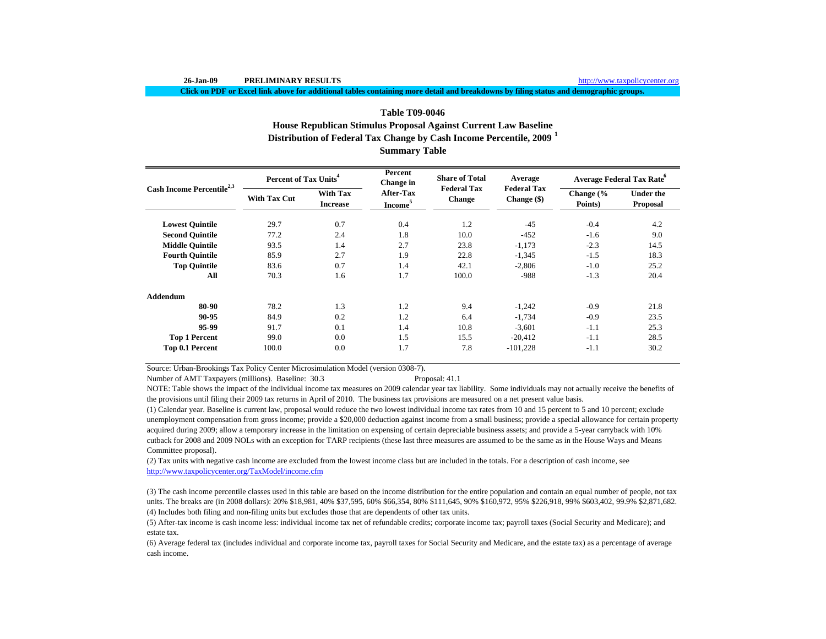**Click on PDF or Excel link above for additional tables containing more detail and breakdowns by filing status and demographic groups.**

# **Distribution of Federal Tax Change by Cash Income Percentile, 2009 <sup>1</sup> Table T09-0046House Republican Stimulus Proposal Against Current Law Baseline**

**Summary Table**

| Cash Income Percentile <sup>2,3</sup> | Percent of Tax Units <sup>4</sup> |                                    | Percent<br>Change in             | <b>Share of Total</b>               | Average                             | <b>Average Federal Tax Rate</b> <sup>o</sup> |                                     |  |
|---------------------------------------|-----------------------------------|------------------------------------|----------------------------------|-------------------------------------|-------------------------------------|----------------------------------------------|-------------------------------------|--|
|                                       | <b>With Tax Cut</b>               | <b>With Tax</b><br><b>Increase</b> | After-Tax<br>Income <sup>5</sup> | <b>Federal Tax</b><br><b>Change</b> | <b>Federal Tax</b><br>Change $(\$)$ | Change (%<br>Points)                         | <b>Under the</b><br><b>Proposal</b> |  |
| <b>Lowest Quintile</b>                | 29.7                              | 0.7                                | 0.4                              | 1.2                                 | $-45$                               | $-0.4$                                       | 4.2                                 |  |
| <b>Second Quintile</b>                | 77.2                              | 2.4                                | 1.8                              | 10.0                                | $-452$                              | $-1.6$                                       | 9.0                                 |  |
| <b>Middle Ouintile</b>                | 93.5                              | 1.4                                | 2.7                              | 23.8                                | $-1,173$                            | $-2.3$                                       | 14.5                                |  |
| <b>Fourth Quintile</b>                | 85.9                              | 2.7                                | 1.9                              | 22.8                                | $-1,345$                            | $-1.5$                                       | 18.3                                |  |
| <b>Top Quintile</b>                   | 83.6                              | 0.7                                | 1.4                              | 42.1                                | $-2,806$                            | $-1.0$                                       | 25.2                                |  |
| All                                   | 70.3                              | 1.6                                | 1.7                              | 100.0                               | $-988$                              | $-1.3$                                       | 20.4                                |  |
| Addendum                              |                                   |                                    |                                  |                                     |                                     |                                              |                                     |  |
| 80-90                                 | 78.2                              | 1.3                                | 1.2                              | 9.4                                 | $-1,242$                            | $-0.9$                                       | 21.8                                |  |
| 90-95                                 | 84.9                              | 0.2                                | 1.2                              | 6.4                                 | $-1,734$                            | $-0.9$                                       | 23.5                                |  |
| 95-99                                 | 91.7                              | 0.1                                | 1.4                              | 10.8                                | $-3,601$                            | $-1.1$                                       | 25.3                                |  |
| <b>Top 1 Percent</b>                  | 99.0                              | 0.0                                | 1.5                              | 15.5                                | $-20,412$                           | $-1.1$                                       | 28.5                                |  |
| Top 0.1 Percent                       | 100.0                             | 0.0                                | 1.7                              | 7.8                                 | $-101,228$                          | $-1.1$                                       | 30.2                                |  |

Source: Urban-Brookings Tax Policy Center Microsimulation Model (version 0308-7).

Number of AMT Taxpayers (millions). Baseline: 30.3 Proposal: 41.1

NOTE: Table shows the impact of the individual income tax measures on 2009 calendar year tax liability. Some individuals may not actually receive the benefits of the provisions until filing their 2009 tax returns in April of 2010. The business tax provisions are measured on a net present value basis.

(1) Calendar year. Baseline is current law, proposal would reduce the two lowest individual income tax rates from 10 and 15 percent to 5 and 10 percent; exclude unemployment compensation from gross income; provide a \$20,000 deduction against income from a small business; provide a special allowance for certain property acquired during 2009; allow a temporary increase in the limitation on expensing of certain depreciable business assets; and provide a 5-year carryback with 10% cutback for 2008 and 2009 NOLs with an exception for TARP recipients (these last three measures are assumed to be the same as in the House Ways and Means Committee proposal).

(2) Tax units with negative cash income are excluded from the lowest income class but are included in the totals. For a description of cash income, see http://www.taxpolicycenter.org/TaxModel/income.cfm

(4) Includes both filing and non-filing units but excludes those that are dependents of other tax units. (3) The cash income percentile classes used in this table are based on the income distribution for the entire population and contain an equal number of people, not tax units. The breaks are (in 2008 dollars): 20% \$18,981, 40% \$37,595, 60% \$66,354, 80% \$111,645, 90% \$160,972, 95% \$226,918, 99% \$603,402, 99.9% \$2,871,682.

(5) After-tax income is cash income less: individual income tax net of refundable credits; corporate income tax; payroll taxes (Social Security and Medicare); and estate tax.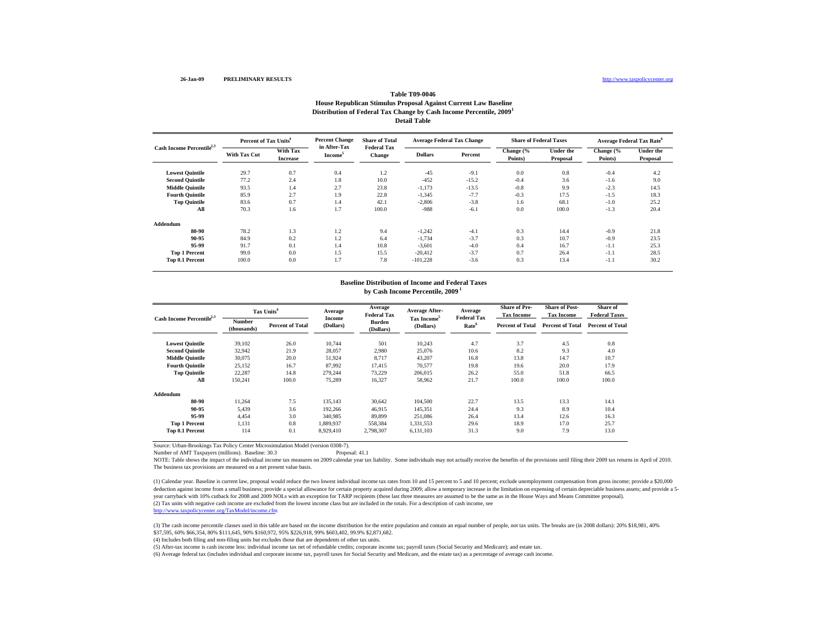#### http://www.taxpolicycenter.org

### **Table T09-0046House Republican Stimulus Proposal Against Current Law Baseline Distribution of Federal Tax Change by Cash Income Percentile, 2009 1 Detail Table**

| Cash Income Percentile <sup>2,3</sup> | Percent of Tax Units <sup>4</sup> |                             | <b>Percent Change</b>               | <b>Share of Total</b>               | <b>Average Federal Tax Change</b> |         | <b>Share of Federal Taxes</b> |                              |                      | <b>Average Federal Tax Rate<sup>6</sup></b> |
|---------------------------------------|-----------------------------------|-----------------------------|-------------------------------------|-------------------------------------|-----------------------------------|---------|-------------------------------|------------------------------|----------------------|---------------------------------------------|
|                                       | <b>With Tax Cut</b>               | With Tax<br><b>Increase</b> | in After-Tax<br>Income <sup>5</sup> | <b>Federal Tax</b><br><b>Change</b> | <b>Dollars</b>                    | Percent | Change (%<br>Points)          | <b>Under the</b><br>Proposal | Change (%<br>Points) | <b>Under the</b><br>Proposal                |
| <b>Lowest Quintile</b>                | 29.7                              | 0.7                         | 0.4                                 | 1.2                                 | $-45$                             | $-9.1$  | 0.0                           | 0.8                          | $-0.4$               | 4.2                                         |
| <b>Second Ouintile</b>                | 77.2                              | 2.4                         | 1.8                                 | 10.0                                | $-452$                            | $-15.2$ | $-0.4$                        | 3.6                          | $-1.6$               | 9.0                                         |
| <b>Middle Quintile</b>                | 93.5                              | 1.4                         | 2.7                                 | 23.8                                | $-1,173$                          | $-13.5$ | $-0.8$                        | 9.9                          | $-2.3$               | 14.5                                        |
| <b>Fourth Quintile</b>                | 85.9                              | 2.7                         | 1.9                                 | 22.8                                | $-1,345$                          | $-7.7$  | $-0.3$                        | 17.5                         | $-1.5$               | 18.3                                        |
| <b>Top Quintile</b>                   | 83.6                              | 0.7                         | 1.4                                 | 42.1                                | $-2,806$                          | $-3.8$  | 1.6                           | 68.1                         | $-1.0$               | 25.2                                        |
| All                                   | 70.3                              | 1.6                         | 1.7                                 | 100.0                               | $-988$                            | $-6.1$  | 0.0                           | 100.0                        | $-1.3$               | 20.4                                        |
| Addendum                              |                                   |                             |                                     |                                     |                                   |         |                               |                              |                      |                                             |
| 80-90                                 | 78.2                              | 1.3                         | 1.2                                 | 9.4                                 | $-1,242$                          | $-4.1$  | 0.3                           | 14.4                         | $-0.9$               | 21.8                                        |
| 90-95                                 | 84.9                              | 0.2                         | 1.2                                 | 6.4                                 | $-1,734$                          | $-3.7$  | 0.3                           | 10.7                         | $-0.9$               | 23.5                                        |
| 95-99                                 | 91.7                              | 0.1                         | 1.4                                 | 10.8                                | $-3,601$                          | $-4.0$  | 0.4                           | 16.7                         | $-1.1$               | 25.3                                        |
| <b>Top 1 Percent</b>                  | 99.0                              | 0.0                         | 1.5                                 | 15.5                                | $-20.412$                         | $-3.7$  | 0.7                           | 26.4                         | $-1.1$               | 28.5                                        |
| Top 0.1 Percent                       | 100.0                             | 0.0                         | 1.7                                 | 7.8                                 | $-101,228$                        | $-3.6$  | 0.3                           | 13.4                         | $-1.1$               | 30.2                                        |

#### **Baseline Distribution of Income and Federal Taxes by Cash Income Percentile, 2009 1**

| Cash Income Percentile <sup>2,3</sup> | Tax Units <sup>4</sup> |                         | Average             | Average<br><b>Federal Tax</b> | <b>Average After-</b>                | Average<br><b>Federal Tax</b> | <b>Share of Pre-</b><br><b>Tax Income</b> | <b>Share of Post-</b><br><b>Tax Income</b> | Share of<br><b>Federal Taxes</b> |
|---------------------------------------|------------------------|-------------------------|---------------------|-------------------------------|--------------------------------------|-------------------------------|-------------------------------------------|--------------------------------------------|----------------------------------|
|                                       | Number<br>(thousands)  | <b>Percent of Total</b> | Income<br>(Dollars) | <b>Burden</b><br>(Dollars)    | Tax Income <sup>5</sup><br>(Dollars) | Rate <sup>6</sup>             | <b>Percent of Total</b>                   | <b>Percent of Total</b>                    | <b>Percent of Total</b>          |
| <b>Lowest Quintile</b>                | 39.102                 | 26.0                    | 10.744              | 501                           | 10.243                               | 4.7                           | 3.7                                       | 4.5                                        | 0.8                              |
| <b>Second Ouintile</b>                | 32,942                 | 21.9                    | 28,057              | 2.980                         | 25,076                               | 10.6                          | 8.2                                       | 9.3                                        | 4.0                              |
| <b>Middle Quintile</b>                | 30.075                 | 20.0                    | 51,924              | 8,717                         | 43,207                               | 16.8                          | 13.8                                      | 14.7                                       | 10.7                             |
| <b>Fourth Quintile</b>                | 25,152                 | 16.7                    | 87,992              | 17,415                        | 70,577                               | 19.8                          | 19.6                                      | 20.0                                       | 17.9                             |
| <b>Top Quintile</b>                   | 22,287                 | 14.8                    | 279.244             | 73,229                        | 206,015                              | 26.2                          | 55.0                                      | 51.8                                       | 66.5                             |
| All                                   | 150,241                | 100.0                   | 75,289              | 16,327                        | 58,962                               | 21.7                          | 100.0                                     | 100.0                                      | 100.0                            |
| Addendum                              |                        |                         |                     |                               |                                      |                               |                                           |                                            |                                  |
| 80-90                                 | 11,264                 | 7.5                     | 135,143             | 30,642                        | 104,500                              | 22.7                          | 13.5                                      | 13.3                                       | 14.1                             |
| 90-95                                 | 5,439                  | 3.6                     | 192,266             | 46,915                        | 145,351                              | 24.4                          | 9.3                                       | 8.9                                        | 10.4                             |
| 95-99                                 | 4.454                  | 3.0                     | 340,985             | 89,899                        | 251.086                              | 26.4                          | 13.4                                      | 12.6                                       | 16.3                             |
| <b>Top 1 Percent</b>                  | 1,131                  | 0.8                     | 1.889.937           | 558,384                       | 1,331,553                            | 29.6                          | 18.9                                      | 17.0                                       | 25.7                             |
| <b>Top 0.1 Percent</b>                | 114                    | 0.1                     | 8.929.410           | 2,798,307                     | 6.131.103                            | 31.3                          | 9.0                                       | 7.9                                        | 13.0                             |

Source: Urban-Brookings Tax Policy Center Microsimulation Model (version 0308-7).

Number of AMT Taxpayers (millions). Baseline: 30.3 Proposal: 41.1

NOTE: Table shows the impact of the individual income tax measures on 2009 calendar year tax liability. Some individuals may not actually receive the benefits of the provisions until filing their 2009 tax returns in April The business tax provisions are measured on a net present value basis.

(2) Tax units with negative cash income are excluded from the lowest income class but are included in the totals. For a description of cash income, see<br>http://www.taxpolicycenter.org/TaxModel/income.cfm (1) Calendar year. Baseline is current law, proposal would reduce the two lowest individual income tax rates from 10 and 15 percent to 5 and 10 percent; exclude unemployment compensation from gross income; provide a \$20,000 deduction against income from a small business; provide a special allowance for certain property acquired during 2009; allow a temporary increase in the limitation on expensing of certain depreciable business assets; and p year carryback with 10% cutback for 2008 and 2009 NOLs with an exception for TARP recipients (these last three measures are assumed to be the same as in the House Ways and Means Committee proposal).

(3) The cash income percentile classes used in this table are based on the income distribution for the entire population and contain an equal number of people, not tax units. The breaks are (in 2008 dollars): 20% \$18,981, \$37,595, 60% \$66,354, 80% \$111,645, 90% \$160,972, 95% \$226,918, 99% \$603,402, 99.9% \$2,871,682.

(4) Includes both filing and non-filing units but excludes those that are dependents of other tax units.

(5) After-tax income is cash income less: individual income tax net of refundable credits; corporate income tax; payroll taxes (Social Security and Medicare); and estate tax.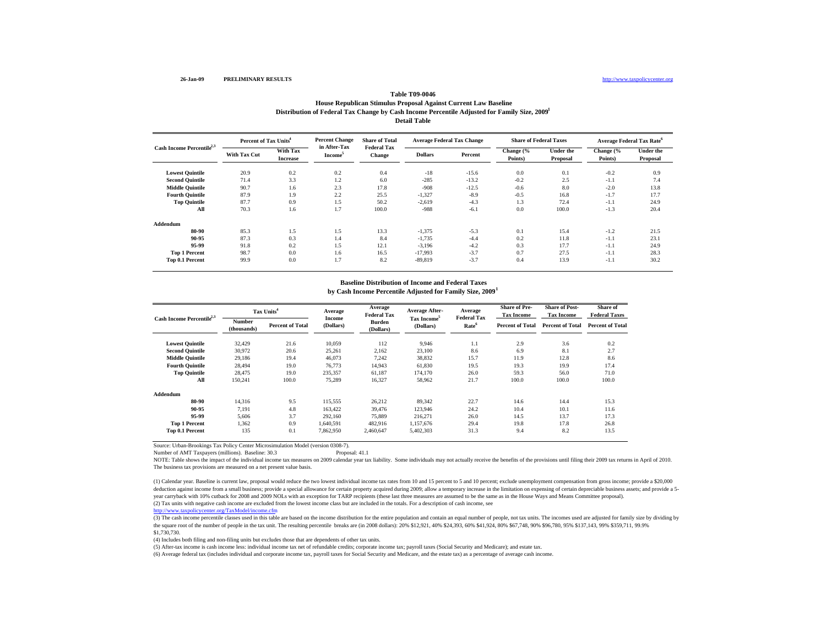### **Table T09-0046House Republican Stimulus Proposal Against Current Law Baseline Distribution of Federal Tax Change by Cash Income Percentile Adjusted for Family Size, 2009 1 Detail Table**

| Cash Income Percentile <sup>2,3</sup> | Percent of Tax Units <sup>4</sup> |                             | <b>Percent Change</b>   | <b>Share of Total</b>               | Average Federal Tax Change |         | <b>Share of Federal Taxes</b> |                       | <b>Average Federal Tax Rate</b> <sup>o</sup> |                              |
|---------------------------------------|-----------------------------------|-----------------------------|-------------------------|-------------------------------------|----------------------------|---------|-------------------------------|-----------------------|----------------------------------------------|------------------------------|
|                                       | <b>With Tax Cut</b>               | With Tax<br><b>Increase</b> | in After-Tax<br>Income' | <b>Federal Tax</b><br><b>Change</b> | <b>Dollars</b>             | Percent | Change (%<br>Points)          | Under the<br>Proposal | Change (%<br>Points)                         | <b>Under the</b><br>Proposal |
| <b>Lowest Quintile</b>                | 20.9                              | 0.2                         | 0.2                     | 0.4                                 | $-18$                      | $-15.6$ | 0.0                           | 0.1                   | $-0.2$                                       | 0.9                          |
| <b>Second Quintile</b>                | 71.4                              | 3.3                         | 1.2                     | 6.0                                 | $-285$                     | $-13.2$ | $-0.2$                        | 2.5                   | $-1.1$                                       | 7.4                          |
| <b>Middle Quintile</b>                | 90.7                              | 1.6                         | 2.3                     | 17.8                                | $-908$                     | $-12.5$ | $-0.6$                        | 8.0                   | $-2.0$                                       | 13.8                         |
| <b>Fourth Quintile</b>                | 87.9                              | 1.9                         | 2.2                     | 25.5                                | $-1,327$                   | $-8.9$  | $-0.5$                        | 16.8                  | $-1.7$                                       | 17.7                         |
| <b>Top Quintile</b>                   | 87.7                              | 0.9                         | 1.5                     | 50.2                                | $-2,619$                   | $-4.3$  | 1.3                           | 72.4                  | $-1.1$                                       | 24.9                         |
| All                                   | 70.3                              | 1.6                         | 1.7                     | 100.0                               | $-988$                     | $-6.1$  | 0.0                           | 100.0                 | $-1.3$                                       | 20.4                         |
| Addendum                              |                                   |                             |                         |                                     |                            |         |                               |                       |                                              |                              |
| 80-90                                 | 85.3                              | 1.5                         | 1.5                     | 13.3                                | $-1,375$                   | $-5.3$  | 0.1                           | 15.4                  | $-1.2$                                       | 21.5                         |
| 90-95                                 | 87.3                              | 0.3                         | 1.4                     | 8.4                                 | $-1,735$                   | $-4.4$  | 0.2                           | 11.8                  | $-1.1$                                       | 23.1                         |
| 95-99                                 | 91.8                              | 0.2                         | 1.5                     | 12.1                                | $-3,196$                   | $-4.2$  | 0.3                           | 17.7                  | $-1.1$                                       | 24.9                         |
| <b>Top 1 Percent</b>                  | 98.7                              | 0.0                         | 1.6                     | 16.5                                | $-17.993$                  | $-3.7$  | 0.7                           | 27.5                  | $-1.1$                                       | 28.3                         |
| Top 0.1 Percent                       | 99.9                              | 0.0                         | 1.7                     | 8.2                                 | $-89,819$                  | $-3.7$  | 0.4                           | 13.9                  | $-1.1$                                       | 30.2                         |

#### **Baseline Distribution of Income and Federal Taxes**

**by Cash Income Percentile Adjusted for Family Size, 2009 1**

| Cash Income Percentile <sup>2,3</sup> | Tax Units <sup>4</sup>       |                         | Average             | Average<br><b>Federal Tax</b> | Average After-                       | Average<br><b>Federal Tax</b> | <b>Share of Pre-</b><br><b>Tax Income</b> | <b>Share of Post-</b><br><b>Tax Income</b> | Share of<br><b>Federal Taxes</b> |
|---------------------------------------|------------------------------|-------------------------|---------------------|-------------------------------|--------------------------------------|-------------------------------|-------------------------------------------|--------------------------------------------|----------------------------------|
|                                       | <b>Number</b><br>(thousands) | <b>Percent of Total</b> | Income<br>(Dollars) | <b>Burden</b><br>(Dollars)    | Tax Income <sup>5</sup><br>(Dollars) | Rate <sup>6</sup>             | <b>Percent of Total</b>                   | <b>Percent of Total</b>                    | <b>Percent of Total</b>          |
| <b>Lowest Quintile</b>                | 32.429                       | 21.6                    | 10.059              | 112                           | 9.946                                | 1.1                           | 2.9                                       | 3.6                                        | 0.2                              |
| <b>Second Quintile</b>                | 30.972                       | 20.6                    | 25,261              | 2,162                         | 23,100                               | 8.6                           | 6.9                                       | 8.1                                        | 2.7                              |
| <b>Middle Quintile</b>                | 29,186                       | 19.4                    | 46,073              | 7,242                         | 38,832                               | 15.7                          | 11.9                                      | 12.8                                       | 8.6                              |
| <b>Fourth Quintile</b>                | 28,494                       | 19.0                    | 76,773              | 14,943                        | 61,830                               | 19.5                          | 19.3                                      | 19.9                                       | 17.4                             |
| <b>Top Quintile</b>                   | 28,475                       | 19.0                    | 235,357             | 61,187                        | 174,170                              | 26.0                          | 59.3                                      | 56.0                                       | 71.0                             |
| All                                   | 150,241                      | 100.0                   | 75,289              | 16,327                        | 58,962                               | 21.7                          | 100.0                                     | 100.0                                      | 100.0                            |
| Addendum                              |                              |                         |                     |                               |                                      |                               |                                           |                                            |                                  |
| 80-90                                 | 14,316                       | 9.5                     | 115,555             | 26,212                        | 89,342                               | 22.7                          | 14.6                                      | 14.4                                       | 15.3                             |
| 90-95                                 | 7,191                        | 4.8                     | 163,422             | 39,476                        | 123,946                              | 24.2                          | 10.4                                      | 10.1                                       | 11.6                             |
| 95-99                                 | 5,606                        | 3.7                     | 292,160             | 75,889                        | 216,271                              | 26.0                          | 14.5                                      | 13.7                                       | 17.3                             |
| <b>Top 1 Percent</b>                  | 1,362                        | 0.9                     | 1,640,591           | 482,916                       | 1,157,676                            | 29.4                          | 19.8                                      | 17.8                                       | 26.8                             |
| <b>Top 0.1 Percent</b>                | 135                          | 0.1                     | 7,862,950           | 2.460.647                     | 5,402,303                            | 31.3                          | 9.4                                       | 8.2                                        | 13.5                             |

Source: Urban-Brookings Tax Policy Center Microsimulation Model (version 0308-7).

Number of AMT Taxpayers (millions). Baseline: 30.3 Proposal: 41.1

NOTE: Table shows the impact of the individual income tax measures on 2009 calendar year tax liability. Some individuals may not actually receive the benefits of the provisions until filing their 2009 tax returns in April The business tax provisions are measured on a net present value basis.

(2) Tax units with negative cash income are excluded from the lowest income class but are included in the totals. For a description of cash income, see (1) Calendar year. Baseline is current law, proposal would reduce the two lowest individual income tax rates from 10 and 15 percent to 5 and 10 percent; exclude unemployment compensation from gross income; provide a \$20,000 deduction against income from a small business; provide a special allowance for certain property acquired during 2009; allow a temporary increase in the limitation on expensing of certain depreciable business assets; and p year carryback with 10% cutback for 2008 and 2009 NOLs with an exception for TARP recipients (these last three measures are assumed to be the same as in the House Ways and Means Committee proposal).

p://www.taxpolicycenter.org/TaxModel/income.cfm

 $\frac{1}{(3)}$  The cash income percentile classes used in this table are based on the income distribution for the entire population and contain an equal number of people, not tax units. The incomes used are adjusted for famil the square root of the number of people in the tax unit. The resulting percentile breaks are (in 2008 dollars): 20% \$12,921, 40% \$24,393, 60% \$41,924, 80% \$567,748, 90% \$96,780, 95% \$137,143, 99% \$359,711, 99.9% \$1,730,730.

(4) Includes both filing and non-filing units but excludes those that are dependents of other tax units.

(5) After-tax income is cash income less: individual income tax net of refundable credits; corporate income tax; payroll taxes (Social Security and Medicare); and estate tax.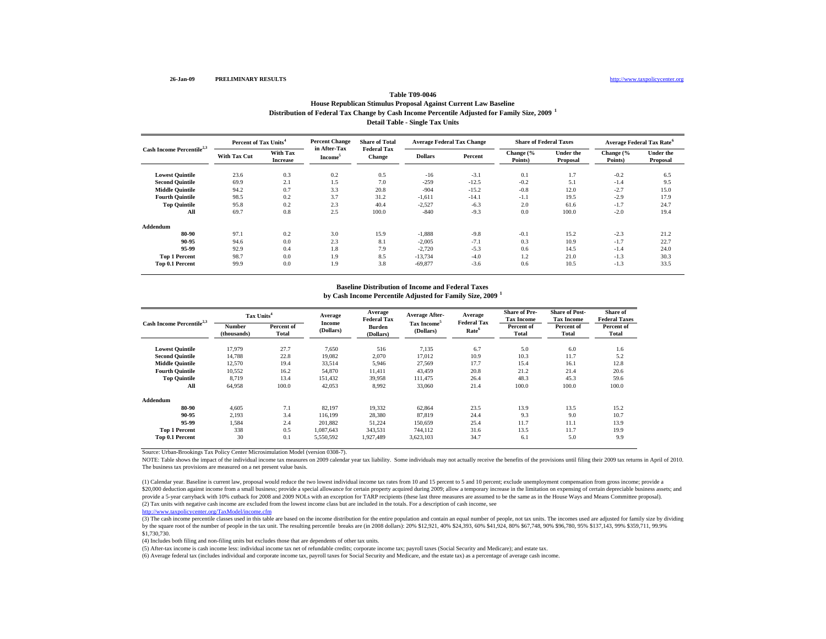#### http://www.taxpolicycenter.org

#### **Table T09-0046House Republican Stimulus Proposal Against Current Law Baseline**

**Distribution of Federal Tax Change by Cash Income Percentile Adjusted for Family Size, 2009 <sup>1</sup>**

**Detail Table - Single Tax Units**

| Cash Income Percentile <sup>2,3</sup> | Percent of Tax Units <sup>4</sup> |                             | <b>Percent Change</b>               | <b>Share of Total</b>               | <b>Average Federal Tax Change</b> |         | <b>Share of Federal Taxes</b> |                              | Average Federal Tax Rate <sup>6</sup> |                              |
|---------------------------------------|-----------------------------------|-----------------------------|-------------------------------------|-------------------------------------|-----------------------------------|---------|-------------------------------|------------------------------|---------------------------------------|------------------------------|
|                                       | <b>With Tax Cut</b>               | With Tax<br><b>Increase</b> | in After-Tax<br>Income <sup>5</sup> | <b>Federal Tax</b><br><b>Change</b> | <b>Dollars</b>                    | Percent | Change (%<br>Points)          | <b>Under the</b><br>Proposal | Change (%<br>Points)                  | <b>Under the</b><br>Proposal |
| <b>Lowest Quintile</b>                | 23.6                              | 0.3                         | 0.2                                 | 0.5                                 | $-16$                             | $-3.1$  | 0.1                           | 1.7                          | $-0.2$                                | 6.5                          |
| <b>Second Quintile</b>                | 69.9                              | 2.1                         | 1.5                                 | 7.0                                 | $-259$                            | $-12.5$ | $-0.2$                        | 5.1                          | $-1.4$                                | 9.5                          |
| <b>Middle Quintile</b>                | 94.2                              | 0.7                         | 3.3                                 | 20.8                                | $-904$                            | $-15.2$ | $-0.8$                        | 12.0                         | $-2.7$                                | 15.0                         |
| <b>Fourth Quintile</b>                | 98.5                              | 0.2                         | 3.7                                 | 31.2                                | $-1,611$                          | $-14.1$ | $-1.1$                        | 19.5                         | $-2.9$                                | 17.9                         |
| <b>Top Quintile</b>                   | 95.8                              | 0.2                         | 2.3                                 | 40.4                                | $-2,527$                          | $-6.3$  | 2.0                           | 61.6                         | $-1.7$                                | 24.7                         |
| All                                   | 69.7                              | 0.8                         | 2.5                                 | 100.0                               | $-840$                            | $-9.3$  | 0.0                           | 100.0                        | $-2.0$                                | 19.4                         |
| Addendum                              |                                   |                             |                                     |                                     |                                   |         |                               |                              |                                       |                              |
| 80-90                                 | 97.1                              | 0.2                         | 3.0                                 | 15.9                                | $-1,888$                          | $-9.8$  | $-0.1$                        | 15.2                         | $-2.3$                                | 21.2                         |
| 90-95                                 | 94.6                              | 0.0                         | 2.3                                 | 8.1                                 | $-2,005$                          | $-7.1$  | 0.3                           | 10.9                         | $-1.7$                                | 22.7                         |
| 95-99                                 | 92.9                              | 0.4                         | 1.8                                 | 7.9                                 | $-2,720$                          | $-5.3$  | 0.6                           | 14.5                         | $-1.4$                                | 24.0                         |
| <b>Top 1 Percent</b>                  | 98.7                              | 0.0                         | 1.9                                 | 8.5                                 | $-13.734$                         | $-4.0$  | 1.2                           | 21.0                         | $-1.3$                                | 30.3                         |
| Top 0.1 Percent                       | 99.9                              | 0.0                         | 1.9                                 | 3.8                                 | $-69,877$                         | $-3.6$  | 0.6                           | 10.5                         | $-1.3$                                | 33.5                         |

# **Baseline Distribution of Income and Federal Taxes**

**Lowest Quintile** 17,979 27.7 7,650 516 7,135 6.7 5.0 6.0 1.6 **Second Quintile** 14,788 22.8 19,082 2,070 17,012 10.9 10.3 11.7 5.2 **Middle Quintile** 12,570 19.4 33,514 5,946 27,569 17.7 15.4 16.1 12.8 **Fourth Quintile** 10,552 16.2 54,870 11,411 43,459 20.8 21.2 21.4 20.6 **Top Quintile** 8,719 13.4 151,432 39,958 111,475 26.4 48.3 45.3 59.6 **All** 64,958 100.0 42,053 8,992 33,060 21.4 100.0 100.0 100.0 **Addendum80-900** 4,605 7.1 82,197 19,332 62,864 23.5 13.9 13.5 15.2 **90-95** 2,193 3.4 116,199 28,380 87,819 24.4 9.3 9.0 10.7 **95-99** 1,584 2.4 201,882 51,224 150,659 25.4 11.7 11.1 13.9 **Top 1 Percent** 338 0.5 1,087,643 343,531 744,112 31.6 13.5 11.7 19.9 **Percent of Total Number (thousands) Percent of Total Percent of Total Percent of Total Share of Pre-Tax Income Share of Post- Tax Income Cash Income Percentile2,3 Tax Units<sup>4</sup> Average Income (Dollars) Average Federal Tax Burden (Dollars) Share of Federal Taxes by Cash Income Percentile Adjusted for Family Size, 2009 <sup>1</sup> Average After-Tax Income<sup>5</sup> (Dollars) Average Federal Tax Rate<sup>6</sup>**

Source: Urban-Brookings Tax Policy Center Microsimulation Model (version 0308-7).

NOTE: Table shows the impact of the individual income tax measures on 2009 calendar year tax liability. Some individuals may not actually receive the benefits of the provisions until filing their 2009 tax returns in April The business tax provisions are measured on a net present value basis.

**Top 0.1 Percent** 30 0.1 5,550,592 1,927,489 3,623,103 34.7 6.1 5.0 9.9

(2) Tax units with negative cash income are excluded from the lowest income class but are included in the totals. For a description of cash income, see (1) Calendar year. Baseline is current law, proposal would reduce the two lowest individual income tax rates from 10 and 15 percent to 5 and 10 percent; exclude unemployment compensation from gross income; provide a \$20,000 deduction against income from a small business; provide a special allowance for certain property acquired during 2009; allow a temporary increase in the limitation on expensing of certain depreciable business asset provide a 5-year carryback with 10% cutback for 2008 and 2009 NOLs with an exception for TARP recipients (these last three measures are assumed to be the same as in the House Ways and Means Committee proposal).

http://www.taxpolicycenter.org/TaxModel/income.cfm

(3) The cash income percentile classes used in this table are based on the income distribution for the entire population and contain an equal number of people, not tax units. The incomes used are adjusted for family size b by the square root of the number of people in the tax unit. The resulting percentile breaks are (in 2008 dollars): 20% \$12,921, 40% \$24,393, 60% \$41,924, 80% \$67,748, 90% \$96,780, 95% \$137,143, 99% \$359,711, 99.9% \$1,730,730.

(4) Includes both filing and non-filing units but excludes those that are dependents of other tax units.

(5) After-tax income is cash income less: individual income tax net of refundable credits; corporate income tax; payroll taxes (Social Security and Medicare); and estate tax.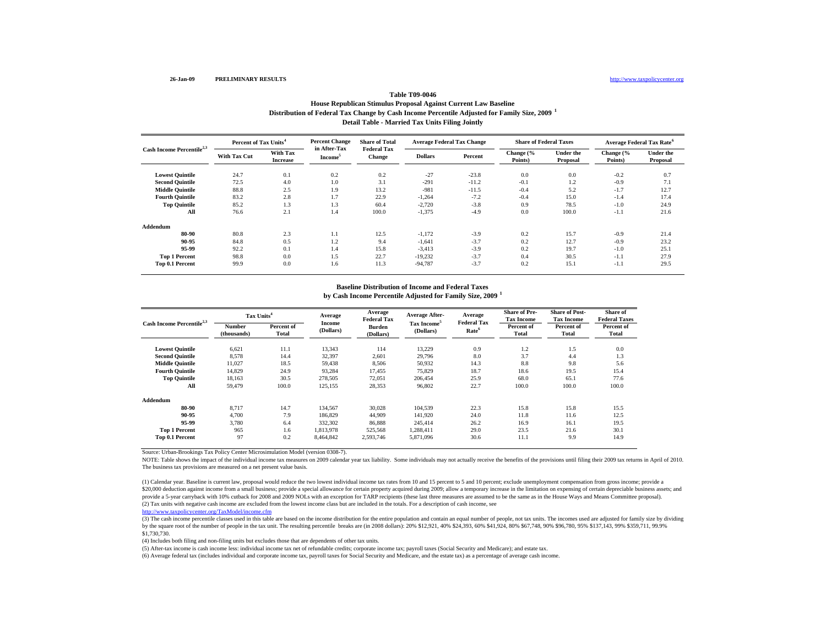#### http://www.taxpolicycenter.org

# **Table T09-0046**

#### **Distribution of Federal Tax Change by Cash Income Percentile Adjusted for Family Size, 2009 <sup>1</sup> Detail Table - Married Tax Units Filing Jointly House Republican Stimulus Proposal Against Current Law Baseline**

| Cash Income Percentile <sup>2,3</sup> | Percent of Tax Units <sup>4</sup> |                             | <b>Percent Change</b>               | <b>Share of Total</b>               | <b>Average Federal Tax Change</b> |         | <b>Share of Federal Taxes</b> |                              |                      | <b>Average Federal Tax Rate<sup>6</sup></b> |
|---------------------------------------|-----------------------------------|-----------------------------|-------------------------------------|-------------------------------------|-----------------------------------|---------|-------------------------------|------------------------------|----------------------|---------------------------------------------|
|                                       | <b>With Tax Cut</b>               | With Tax<br><b>Increase</b> | in After-Tax<br>Income <sup>5</sup> | <b>Federal Tax</b><br><b>Change</b> | <b>Dollars</b>                    | Percent | Change (%<br>Points)          | <b>Under the</b><br>Proposal | Change (%<br>Points) | <b>Under the</b><br>Proposal                |
| <b>Lowest Quintile</b>                | 24.7                              | 0.1                         | 0.2                                 | 0.2                                 | $-27$                             | $-23.8$ | 0.0                           | 0.0                          | $-0.2$               | 0.7                                         |
| <b>Second Quintile</b>                | 72.5                              | 4.0                         | 1.0                                 | 3.1                                 | $-291$                            | $-11.2$ | $-0.1$                        | 1.2                          | $-0.9$               | 7.1                                         |
| <b>Middle Quintile</b>                | 88.8                              | 2.5                         | 1.9                                 | 13.2                                | $-981$                            | $-11.5$ | $-0.4$                        | 5.2                          | $-1.7$               | 12.7                                        |
| <b>Fourth Quintile</b>                | 83.2                              | 2.8                         | 1.7                                 | 22.9                                | $-1,264$                          | $-7.2$  | $-0.4$                        | 15.0                         | $-1.4$               | 17.4                                        |
| <b>Top Quintile</b>                   | 85.2                              | 1.3                         | 1.3                                 | 60.4                                | $-2,720$                          | $-3.8$  | 0.9                           | 78.5                         | $-1.0$               | 24.9                                        |
| All                                   | 76.6                              | 2.1                         | 1.4                                 | 100.0                               | $-1,375$                          | $-4.9$  | 0.0                           | 100.0                        | $-1.1$               | 21.6                                        |
| Addendum                              |                                   |                             |                                     |                                     |                                   |         |                               |                              |                      |                                             |
| 80-90                                 | 80.8                              | 2.3                         | 1.1                                 | 12.5                                | $-1,172$                          | $-3.9$  | 0.2                           | 15.7                         | $-0.9$               | 21.4                                        |
| 90-95                                 | 84.8                              | 0.5                         | 1.2                                 | 9.4                                 | $-1,641$                          | $-3.7$  | 0.2                           | 12.7                         | $-0.9$               | 23.2                                        |
| 95-99                                 | 92.2                              | 0.1                         | 1.4                                 | 15.8                                | $-3,413$                          | $-3.9$  | 0.2                           | 19.7                         | $-1.0$               | 25.1                                        |
| <b>Top 1 Percent</b>                  | 98.8                              | 0.0                         | 1.5                                 | 22.7                                | $-19,232$                         | $-3.7$  | 0.4                           | 30.5                         | $-1.1$               | 27.9                                        |
| Top 0.1 Percent                       | 99.9                              | 0.0                         | 1.6                                 | 11.3                                | $-94,787$                         | $-3.7$  | 0.2                           | 15.1                         | $-1.1$               | 29.5                                        |

## **Baseline Distribution of Income and Federal Taxes**

**Lowest Quintile** 6,621 11.1 13,343 114 13,229 0.9 1.2 1.5 0.0 **Second Quintile** 8,578 14.4 32,397 2,601 29,796 8.0 3.7 4.4 1.3 **Middle Quintile** 11,027 18.5 59,438 8,506 50,932 14.3 8.8 9.8 5.6 **Fourth Quintile** 14,829 24.9 93,284 17,455 75,829 18.7 18.6 19.5 15.4 **Top Quintile** 18,163 30.5 278,505 72,051 206,454 25.9 68.0 65.1 77.6 **All** 59,479 100.0 125,155 28,353 96,802 22.7 100.0 100.0 100.0 **Addendum80-90** 8,717 14.7 134,567 30,028 104,539 22.3 15.8 15.8 15.5 **90-95** 4,700 7.9 186,829 44,909 141,920 24.0 11.8 11.6 12.5 **95-99** 3,780 6.4 332,302 86,888 245,414 26.2 16.9 16.1 19.5 **Top 1 Percent** 965 1.6 1,813,978 525,568 1,288,411 29.0 23.5 21.6 30.1 **Percent of Total Number (thousands) Percent of Total Percent of Total Percent of Total Share of Pre-Tax Income Share of Post- Tax Income Cash Income Percentile2,3 Tax Units<sup>4</sup> Average Income (Dollars) Average Federal Tax Burden (Dollars) Share of Federal Taxes by Cash Income Percentile Adjusted for Family Size, 2009 <sup>1</sup> Average After-Tax Income<sup>5</sup> (Dollars) Average Federal Tax Rate<sup>6</sup>**

**Top 0.1 Percent** 97 0.2 8,464,842 2,593,746 5,871,096 30.6 11.1 9.9 14.9

Source: Urban-Brookings Tax Policy Center Microsimulation Model (version 0308-7).

NOTE: Table shows the impact of the individual income tax measures on 2009 calendar year tax liability. Some individuals may not actually receive the benefits of the provisions until filing their 2009 tax returns in April The business tax provisions are measured on a net present value basis.

(2) Tax units with negative cash income are excluded from the lowest income class but are included in the totals. For a description of cash income, see (1) Calendar year. Baseline is current law, proposal would reduce the two lowest individual income tax rates from 10 and 15 percent to 5 and 10 percent; exclude unemployment compensation from gross income; provide a \$20,000 deduction against income from a small business; provide a special allowance for certain property acquired during 2009; allow a temporary increase in the limitation on expensing of certain depreciable business asset provide a 5-year carryback with 10% cutback for 2008 and 2009 NOLs with an exception for TARP recipients (these last three measures are assumed to be the same as in the House Ways and Means Committee proposal).

http://www.taxpolicycenter.org/TaxModel/income.cfm

(3) The cash income percentile classes used in this table are based on the income distribution for the entire population and contain an equal number of people, not tax units. The incomes used are adjusted for family size b by the square root of the number of people in the tax unit. The resulting percentile breaks are (in 2008 dollars): 20% \$12,921, 40% \$24,393, 60% \$41,924, 80% \$67,748, 90% \$96,780, 95% \$137,143, 99% \$359,711, 99.9% \$1,730,730.

(4) Includes both filing and non-filing units but excludes those that are dependents of other tax units.

(5) After-tax income is cash income less: individual income tax net of refundable credits; corporate income tax; payroll taxes (Social Security and Medicare); and estate tax.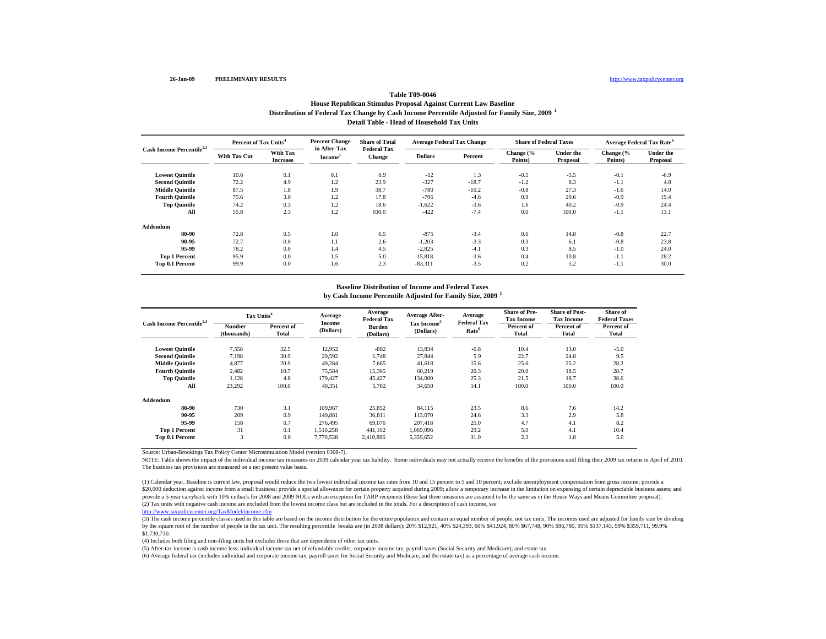#### http://www.taxpolicycenter.org

# **Table T09-0046**

**Distribution of Federal Tax Change by Cash Income Percentile Adjusted for Family Size, 2009 <sup>1</sup> Detail Table - Head of Household Tax UnitsHouse Republican Stimulus Proposal Against Current Law Baseline**

| Cash Income Percentile <sup>2,3</sup> | Percent of Tax Units <sup>4</sup> |                             | <b>Percent Change</b>               | <b>Share of Total</b>               | <b>Average Federal Tax Change</b> |         | <b>Share of Federal Taxes</b> |                              | Average Federal Tax Rate <sup>6</sup> |                              |
|---------------------------------------|-----------------------------------|-----------------------------|-------------------------------------|-------------------------------------|-----------------------------------|---------|-------------------------------|------------------------------|---------------------------------------|------------------------------|
|                                       | <b>With Tax Cut</b>               | With Tax<br><b>Increase</b> | in After-Tax<br>Income <sup>5</sup> | <b>Federal Tax</b><br><b>Change</b> | <b>Dollars</b>                    | Percent | Change (%<br>Points)          | <b>Under the</b><br>Proposal | Change (%<br>Points)                  | <b>Under the</b><br>Proposal |
| <b>Lowest Quintile</b>                | 10.6                              | 0.1                         | 0.1                                 | 0.9                                 | $-12$                             | 1.3     | $-0.5$                        | $-5.5$                       | $-0.1$                                | $-6.9$                       |
| <b>Second Quintile</b>                | 72.2                              | 4.9                         | 1.2                                 | 23.9                                | $-327$                            | $-18.7$ | $-1.2$                        | 8.3                          | $-1.1$                                | 4.8                          |
| <b>Middle Quintile</b>                | 87.5                              | 1.8                         | 1.9                                 | 38.7                                | $-780$                            | $-10.2$ | $-0.8$                        | 27.3                         | $-1.6$                                | 14.0                         |
| <b>Fourth Quintile</b>                | 75.6                              | 3.0                         | 1.2                                 | 17.8                                | $-706$                            | $-4.6$  | 0.9                           | 29.6                         | $-0.9$                                | 19.4                         |
| <b>Top Quintile</b>                   | 74.2                              | 0.3                         | 1.2                                 | 18.6                                | $-1,622$                          | $-3.6$  | 1.6                           | 40.2                         | $-0.9$                                | 24.4                         |
| All                                   | 55.8                              | 2.3                         | 1.2                                 | 100.0                               | $-422$                            | $-7.4$  | 0.0                           | 100.0                        | $-1.1$                                | 13.1                         |
| Addendum                              |                                   |                             |                                     |                                     |                                   |         |                               |                              |                                       |                              |
| 80-90                                 | 72.8                              | 0.5                         | 1.0                                 | 6.5                                 | $-875$                            | $-3.4$  | 0.6                           | 14.8                         | $-0.8$                                | 22.7                         |
| 90-95                                 | 72.7                              | 0.0                         | 1.1                                 | 2.6                                 | $-1,203$                          | $-3.3$  | 0.3                           | 6.1                          | $-0.8$                                | 23.8                         |
| 95-99                                 | 78.2                              | 0.0                         | 1.4                                 | 4.5                                 | $-2,825$                          | $-4.1$  | 0.3                           | 8.5                          | $-1.0$                                | 24.0                         |
| <b>Top 1 Percent</b>                  | 95.9                              | 0.0                         | 1.5                                 | 5.0                                 | $-15,818$                         | $-3.6$  | 0.4                           | 10.8                         | $-1.1$                                | 28.2                         |
| Top 0.1 Percent                       | 99.9                              | 0.0                         | 1.6                                 | 2.3                                 | $-83,311$                         | $-3.5$  | 0.2                           | 5.2                          | $-1.1$                                | 30.0                         |

# **Baseline Distribution of Income and Federal Taxes**

**by Cash Income Percentile Adjusted for Family Size, 2009 <sup>1</sup>**

| Cash Income Percentile <sup>2,3</sup> | Tax Units <sup>4</sup> |            | Average             | Average<br><b>Federal Tax</b> | <b>Average After-</b> | Average<br><b>Federal Tax</b> | <b>Share of Pre-</b><br><b>Tax Income</b> | <b>Share of Post-</b><br><b>Tax Income</b> | Share of<br><b>Federal Taxes</b> |
|---------------------------------------|------------------------|------------|---------------------|-------------------------------|-----------------------|-------------------------------|-------------------------------------------|--------------------------------------------|----------------------------------|
|                                       | Number                 | Percent of | Income<br>(Dollars) | Burden                        | Tax Income            |                               | Percent of                                | Percent of                                 | Percent of                       |
|                                       | (thousands)            | Total      |                     | (Dollars)                     | (Dollars)             | Rate <sup>6</sup>             | Total                                     | Total                                      | Total                            |
| <b>Lowest Quintile</b>                | 7,558                  | 32.5       | 12,952              | $-882$                        | 13,834                | $-6.8$                        | 10.4                                      | 13.0                                       | $-5.0$                           |
| <b>Second Quintile</b>                | 7,198                  | 30.9       | 29,592              | 1,748                         | 27,844                | 5.9                           | 22.7                                      | 24.8                                       | 9.5                              |
| <b>Middle Ouintile</b>                | 4,877                  | 20.9       | 49,284              | 7.665                         | 41,618                | 15.6                          | 25.6                                      | 25.2                                       | 28.2                             |
| <b>Fourth Ouintile</b>                | 2.482                  | 10.7       | 75,584              | 15,365                        | 60,219                | 20.3                          | 20.0                                      | 18.5                                       | 28.7                             |
| <b>Top Quintile</b>                   | 1,128                  | 4.8        | 179,427             | 45,427                        | 134,000               | 25.3                          | 21.5                                      | 18.7                                       | 38.6                             |
| All                                   | 23,292                 | 100.0      | 40,351              | 5,702                         | 34,650                | 14.1                          | 100.0                                     | 100.0                                      | 100.0                            |
| Addendum                              |                        |            |                     |                               |                       |                               |                                           |                                            |                                  |
| 80-90                                 | 730                    | 3.1        | 109,967             | 25,852                        | 84,115                | 23.5                          | 8.6                                       | 7.6                                        | 14.2                             |
| 90-95                                 | 209                    | 0.9        | 149,881             | 36,811                        | 113,070               | 24.6                          | 3.3                                       | 2.9                                        | 5.8                              |
| 95-99                                 | 158                    | 0.7        | 276,495             | 69,076                        | 207.418               | 25.0                          | 4.7                                       | 4.1                                        | 8.2                              |
| <b>Top 1 Percent</b>                  | 31                     | 0.1        | 1,510,258           | 441,162                       | 1,069,096             | 29.2                          | 5.0                                       | 4.1                                        | 10.4                             |
| Top 0.1 Percent                       | 3                      | 0.0        | 7,770,538           | 2,410,886                     | 5,359,652             | 31.0                          | 2.3                                       | 1.8                                        | 5.0                              |

Source: Urban-Brookings Tax Policy Center Microsimulation Model (version 0308-7).

NOTE: Table shows the impact of the individual income tax measures on 2009 calendar year tax liability. Some individuals may not actually receive the benefits of the provisions until filing their 2009 tax returns in April The business tax provisions are measured on a net present value basis.

(2) Tax units with negative cash income are excluded from the lowest income class but are included in the totals. For a description of cash income, see (1) Calendar year. Baseline is current law, proposal would reduce the two lowest individual income tax rates from 10 and 15 percent to 5 and 10 percent; exclude unemployment compensation from gross income; provide a \$20,000 deduction against income from a small business; provide a special allowance for certain property acquired during 2009; allow a temporary increase in the limitation on expensing of certain depreciable business asset provide a 5-year carryback with 10% cutback for 2008 and 2009 NOLs with an exception for TARP recipients (these last three measures are assumed to be the same as in the House Ways and Means Committee proposal).

http://www.taxpolicycenter.org/TaxModel/income.cfm

(3) The cash income percentile classes used in this table are based on the income distribution for the entire population and contain an equal number of people, not tax units. The incomes used are adjusted for family size b by the square root of the number of people in the tax unit. The resulting percentile breaks are (in 2008 dollars): 20% \$12,921, 40% \$24,393, 60% \$41,924, 80% \$67,748, 90% \$96,780, 95% \$137,143, 99% \$359,711, 99.9% \$1,730,730.

(4) Includes both filing and non-filing units but excludes those that are dependents of other tax units.

(5) After-tax income is cash income less: individual income tax net of refundable credits; corporate income tax; payroll taxes (Social Security and Medicare); and estate tax.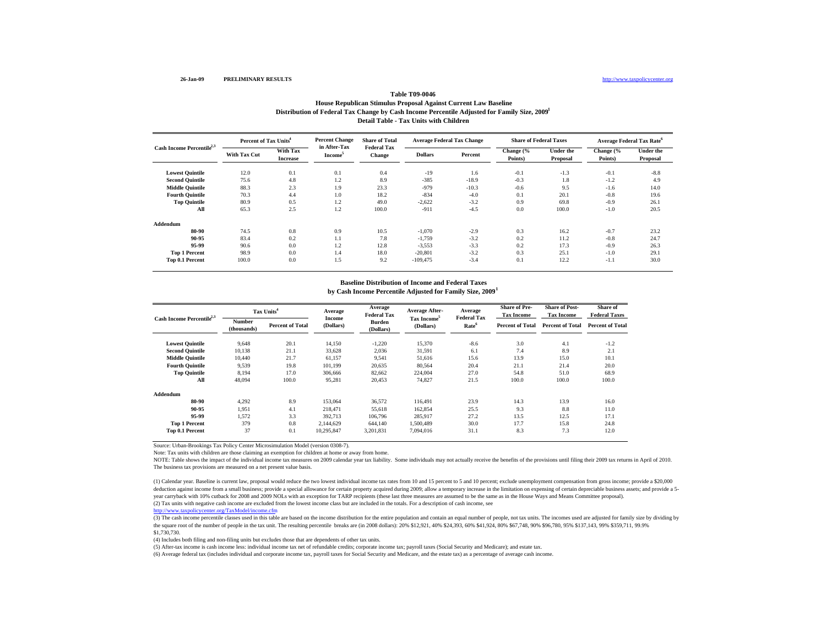#### http://www.taxpolicycenter.org

### **Distribution of Federal Tax Change by Cash Income Percentile Adjusted for Family Size, 2009 1 Detail Table - Tax Units with Children Table T09-0046House Republican Stimulus Proposal Against Current Law Baseline**

| Cash Income Percentile <sup>2,3</sup> | Percent of Tax Units <sup>4</sup> |                             | <b>Percent Change</b>               | <b>Share of Total</b>               | <b>Average Federal Tax Change</b> |         | <b>Share of Federal Taxes</b> |                       | <b>Average Federal Tax Rate<sup>6</sup></b> |                              |
|---------------------------------------|-----------------------------------|-----------------------------|-------------------------------------|-------------------------------------|-----------------------------------|---------|-------------------------------|-----------------------|---------------------------------------------|------------------------------|
|                                       | <b>With Tax Cut</b>               | With Tax<br><b>Increase</b> | in After-Tax<br>Income <sup>5</sup> | <b>Federal Tax</b><br><b>Change</b> | <b>Dollars</b>                    | Percent | Change (%<br>Points)          | Under the<br>Proposal | Change (%<br>Points)                        | <b>Under the</b><br>Proposal |
| <b>Lowest Quintile</b>                | 12.0                              | 0.1                         | 0.1                                 | 0.4                                 | $-19$                             | 1.6     | $-0.1$                        | $-1.3$                | $-0.1$                                      | $-8.8$                       |
| <b>Second Ouintile</b>                | 75.6                              | 4.8                         | 1.2                                 | 8.9                                 | $-385$                            | $-18.9$ | $-0.3$                        | 1.8                   | $-1.2$                                      | 4.9                          |
| <b>Middle Quintile</b>                | 88.3                              | 2.3                         | 1.9                                 | 23.3                                | $-979$                            | $-10.3$ | $-0.6$                        | 9.5                   | $-1.6$                                      | 14.0                         |
| <b>Fourth Quintile</b>                | 70.3                              | 4.4                         | 1.0                                 | 18.2                                | $-834$                            | $-4.0$  | 0.1                           | 20.1                  | $-0.8$                                      | 19.6                         |
| <b>Top Quintile</b>                   | 80.9                              | 0.5                         | 1.2                                 | 49.0                                | $-2,622$                          | $-3.2$  | 0.9                           | 69.8                  | $-0.9$                                      | 26.1                         |
| All                                   | 65.3                              | 2.5                         | 1.2                                 | 100.0                               | $-911$                            | $-4.5$  | 0.0                           | 100.0                 | $-1.0$                                      | 20.5                         |
| Addendum                              |                                   |                             |                                     |                                     |                                   |         |                               |                       |                                             |                              |
| 80-90                                 | 74.5                              | 0.8                         | 0.9                                 | 10.5                                | $-1,070$                          | $-2.9$  | 0.3                           | 16.2                  | $-0.7$                                      | 23.2                         |
| 90-95                                 | 83.4                              | 0.2                         | 1.1                                 | 7.8                                 | $-1,759$                          | $-3.2$  | 0.2                           | 11.2                  | $-0.8$                                      | 24.7                         |
| 95-99                                 | 90.6                              | 0.0                         | 1.2                                 | 12.8                                | $-3,553$                          | $-3.3$  | 0.2                           | 17.3                  | $-0.9$                                      | 26.3                         |
| <b>Top 1 Percent</b>                  | 98.9                              | 0.0                         | 1.4                                 | 18.0                                | $-20,801$                         | $-3.2$  | 0.3                           | 25.1                  | $-1.0$                                      | 29.1                         |
| Top 0.1 Percent                       | 100.0                             | 0.0                         | 1.5                                 | 9.2                                 | $-109,475$                        | $-3.4$  | 0.1                           | 12.2                  | $-1.1$                                      | 30.0                         |

#### **Baseline Distribution of Income and Federal Taxes**

**by Cash Income Percentile Adjusted for Family Size, 2009 1**

| Cash Income Percentile <sup>2,3</sup> |                       | Tax Units <sup>4</sup>  | Average<br><b>Income</b> | Average<br>Federal Tax     | <b>Average After-</b>   | Average<br><b>Federal Tax</b> | <b>Share of Pre-</b><br><b>Tax Income</b> | <b>Share of Post-</b><br><b>Tax Income</b> | Share of<br><b>Federal Taxes</b> |
|---------------------------------------|-----------------------|-------------------------|--------------------------|----------------------------|-------------------------|-------------------------------|-------------------------------------------|--------------------------------------------|----------------------------------|
|                                       | Number<br>(thousands) | <b>Percent of Total</b> | (Dollars)                | <b>Burden</b><br>(Dollars) | Tax Income<br>(Dollars) | Rate <sup>6</sup>             | <b>Percent of Total</b>                   | <b>Percent of Total</b>                    | <b>Percent of Total</b>          |
| <b>Lowest Quintile</b>                | 9,648                 | 20.1                    | 14,150                   | $-1,220$                   | 15,370                  | $-8.6$                        | 3.0                                       | 4.1                                        | $-1.2$                           |
| <b>Second Quintile</b>                | 10,138                | 21.1                    | 33,628                   | 2,036                      | 31,591                  | 6.1                           | 7.4                                       | 8.9                                        | 2.1                              |
| <b>Middle Ouintile</b>                | 10.440                | 21.7                    | 61,157                   | 9,541                      | 51,616                  | 15.6                          | 13.9                                      | 15.0                                       | 10.1                             |
| <b>Fourth Ouintile</b>                | 9,539                 | 19.8                    | 101,199                  | 20,635                     | 80,564                  | 20.4                          | 21.1                                      | 21.4                                       | 20.0                             |
| <b>Top Quintile</b>                   | 8,194                 | 17.0                    | 306,666                  | 82,662                     | 224,004                 | 27.0                          | 54.8                                      | 51.0                                       | 68.9                             |
| All                                   | 48.094                | 100.0                   | 95,281                   | 20,453                     | 74,827                  | 21.5                          | 100.0                                     | 100.0                                      | 100.0                            |
| Addendum                              |                       |                         |                          |                            |                         |                               |                                           |                                            |                                  |
| 80-90                                 | 4,292                 | 8.9                     | 153,064                  | 36,572                     | 116.491                 | 23.9                          | 14.3                                      | 13.9                                       | 16.0                             |
| 90-95                                 | 1.951                 | 4.1                     | 218,471                  | 55,618                     | 162,854                 | 25.5                          | 9.3                                       | 8.8                                        | 11.0                             |
| 95-99                                 | 1.572                 | 3.3                     | 392.713                  | 106,796                    | 285,917                 | 27.2                          | 13.5                                      | 12.5                                       | 17.1                             |
| <b>Top 1 Percent</b>                  | 379                   | 0.8                     | 2.144.629                | 644,140                    | 1.500.489               | 30.0                          | 17.7                                      | 15.8                                       | 24.8                             |
| <b>Top 0.1 Percent</b>                | 37                    | 0.1                     | 10.295.847               | 3.201.831                  | 7.094.016               | 31.1                          | 8.3                                       | 7.3                                        | 12.0                             |

Source: Urban-Brookings Tax Policy Center Microsimulation Model (version 0308-7).

Note: Tax units with children are those claiming an exemption for children at home or away from home.

NOTE: Table shows the impact of the individual income tax measures on 2009 calendar year tax liability. Some individuals may not actually receive the benefits of the provisions until filing their 2009 tax returns in April The business tax provisions are measured on a net present value basis.

(2) Tax units with negative cash income are excluded from the lowest income class but are included in the totals. For a description of cash income, see (1) Calendar year. Baseline is current law, proposal would reduce the two lowest individual income tax rates from 10 and 15 percent to 5 and 10 percent; exclude unemployment compensation from gross income; provide a \$20,000 deduction against income from a small business; provide a special allowance for certain property acquired during 2009; allow a temporary increase in the limitation on expensing of certain depreciable business assets; and p year carryback with 10% cutback for 2008 and 2009 NOLs with an exception for TARP recipients (these last three measures are assumed to be the same as in the House Ways and Means Committee proposal).

p://www.taxpolicycenter.org/TaxModel/income.cfm

(3) The cash income percentile classes used in this table are based on the income distribution for the entire population and contain an equal number of people, not tax units. The incomes used are adjusted for family size b the square root of the number of people in the tax unit. The resulting percentile breaks are (in 2008 dollars): 20% \$12,921, 40% \$24,393, 60% \$41,924, 80% \$567,748, 90% \$96,780, 95% \$137,143, 99% \$359,711, 99.9% \$1,730,730.

(4) Includes both filing and non-filing units but excludes those that are dependents of other tax units.

(5) After-tax income is cash income less: individual income tax net of refundable credits; corporate income tax; payroll taxes (Social Security and Medicare); and estate tax.